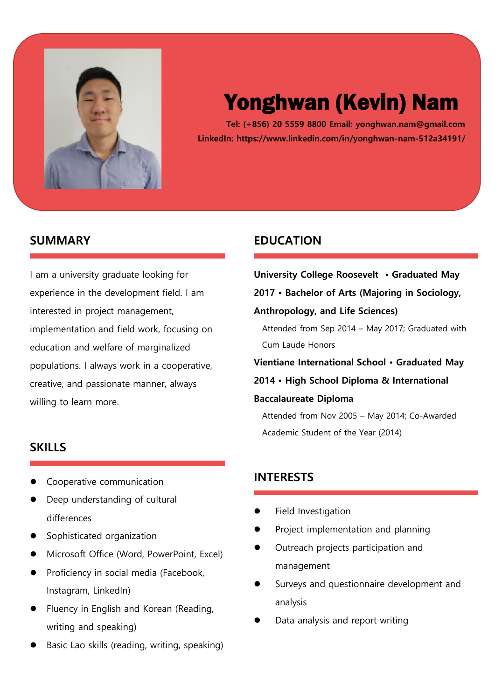

# Yonghwan (Kevin) Nam

**Tel: (+856) 20 5559 8800 Email: yonghwan.nam@gmail.com LinkedIn: https://www.linkedin.com/in/yonghwan-nam-512a34191/**

## **SUMMARY**

I am a university graduate looking for experience in the development field. I am interested in project management, implementation and field work, focusing on education and welfare of marginalized populations. I always work in a cooperative, creative, and passionate manner, always willing to learn more.

## **SKILLS**

- ⚫ Cooperative communication
- ⚫ Deep understanding of cultural differences
- ⚫ Sophisticated organization
- ⚫ Microsoft Office (Word, PowerPoint, Excel)
- ⚫ Proficiency in social media (Facebook, Instagram, LinkedIn)
- ⚫ Fluency in English and Korean (Reading, writing and speaking)
- ⚫ Basic Lao skills (reading, writing, speaking)

## **EDUCATION**

**University College Roosevelt • Graduated May 2017 • Bachelor of Arts (Majoring in Sociology, Anthropology, and Life Sciences)** Attended from Sep 2014 – May 2017; Graduated with Cum Laude Honors **Vientiane International School • Graduated May 2014 • High School Diploma & International Baccalaureate Diploma** Attended from Nov 2005 – May 2014; Co-Awarded Academic Student of the Year (2014)

# **INTERESTS**

- ⚫ Field Investigation
- ⚫ Project implementation and planning
- ⚫ Outreach projects participation and management
- ⚫ Surveys and questionnaire development and analysis
- ⚫ Data analysis and report writing